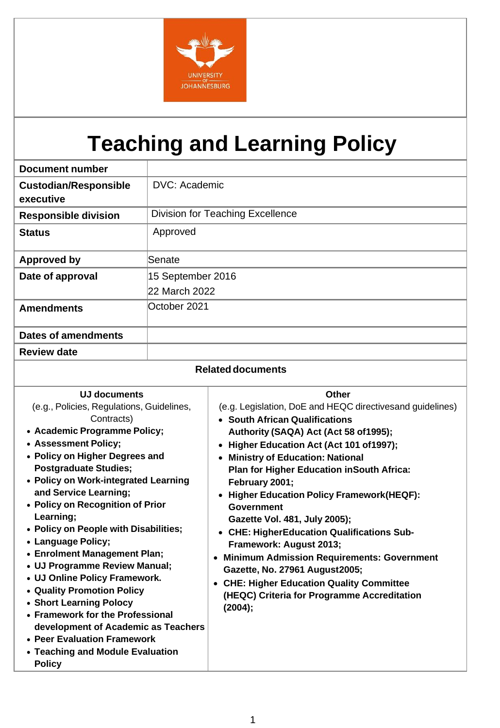

# **Teaching and Learning Policy**

| <b>Document number</b>       |                                         |  |
|------------------------------|-----------------------------------------|--|
| <b>Custodian/Responsible</b> | DVC: Academic                           |  |
| executive                    |                                         |  |
| <b>Responsible division</b>  | <b>Division for Teaching Excellence</b> |  |
| <b>Status</b>                | Approved                                |  |
| <b>Approved by</b>           | Senate                                  |  |
| Date of approval             | 15 September 2016                       |  |
|                              | 22 March 2022                           |  |
| <b>Amendments</b>            | October 2021                            |  |
| <b>Dates of amendments</b>   |                                         |  |
| <b>Review date</b>           |                                         |  |
| <b>Related documents</b>     |                                         |  |

| <b>UJ documents</b>                                                                                                                                                                                                                                                                                                                                                                                                                                                                                                                                                                                                                                                                          | <b>Other</b>                                                                                                                                                                                                                                                                                                                                                                                                                                                                                                                                                                                                                                                                         |
|----------------------------------------------------------------------------------------------------------------------------------------------------------------------------------------------------------------------------------------------------------------------------------------------------------------------------------------------------------------------------------------------------------------------------------------------------------------------------------------------------------------------------------------------------------------------------------------------------------------------------------------------------------------------------------------------|--------------------------------------------------------------------------------------------------------------------------------------------------------------------------------------------------------------------------------------------------------------------------------------------------------------------------------------------------------------------------------------------------------------------------------------------------------------------------------------------------------------------------------------------------------------------------------------------------------------------------------------------------------------------------------------|
| (e.g., Policies, Regulations, Guidelines,<br>Contracts)<br>• Academic Programme Policy;<br>• Assessment Policy;<br>• Policy on Higher Degrees and<br><b>Postgraduate Studies;</b><br>• Policy on Work-integrated Learning<br>and Service Learning;<br>• Policy on Recognition of Prior<br>Learning;<br>• Policy on People with Disabilities;<br>• Language Policy;<br>• Enrolment Management Plan;<br>• UJ Programme Review Manual;<br>• UJ Online Policy Framework.<br>• Quality Promotion Policy<br>• Short Learning Polocy<br>• Framework for the Professional<br>development of Academic as Teachers<br>• Peer Evaluation Framework<br>• Teaching and Module Evaluation<br><b>Policy</b> | (e.g. Legislation, DoE and HEQC directives and guidelines)<br>• South African Qualifications<br>Authority (SAQA) Act (Act 58 of 1995);<br>• Higher Education Act (Act 101 of 1997);<br><b>Ministry of Education: National</b><br><b>Plan for Higher Education in South Africa:</b><br>February 2001;<br>• Higher Education Policy Framework(HEQF):<br><b>Government</b><br>Gazette Vol. 481, July 2005);<br>• CHE: HigherEducation Qualifications Sub-<br>Framework: August 2013;<br><b>Minimum Admission Requirements: Government</b><br>Gazette, No. 27961 August2005;<br><b>CHE: Higher Education Quality Committee</b><br>(HEQC) Criteria for Programme Accreditation<br>(2004); |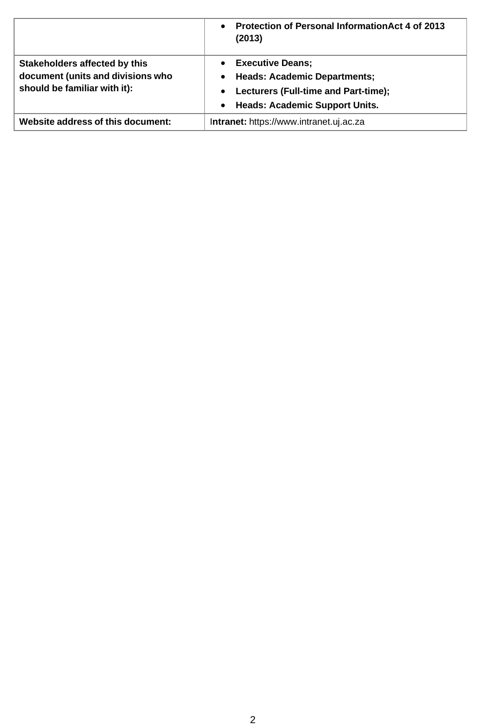|                                                                                                    | <b>Protection of Personal Information Act 4 of 2013</b><br>$\bullet$<br>(2013)                                                                                                 |
|----------------------------------------------------------------------------------------------------|--------------------------------------------------------------------------------------------------------------------------------------------------------------------------------|
| Stakeholders affected by this<br>document (units and divisions who<br>should be familiar with it): | <b>Executive Deans;</b><br><b>Heads: Academic Departments;</b><br>٠<br>Lecturers (Full-time and Part-time);<br>$\bullet$<br><b>Heads: Academic Support Units.</b><br>$\bullet$ |
| Website address of this document:                                                                  | Intranet: https://www.intranet.uj.ac.za                                                                                                                                        |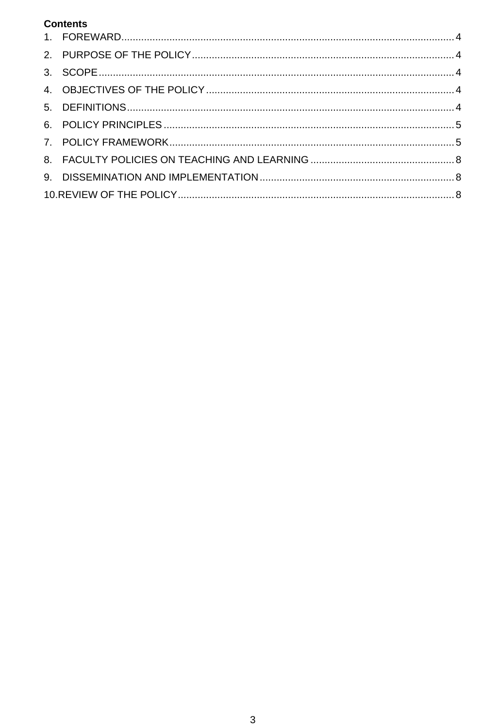## **Contents**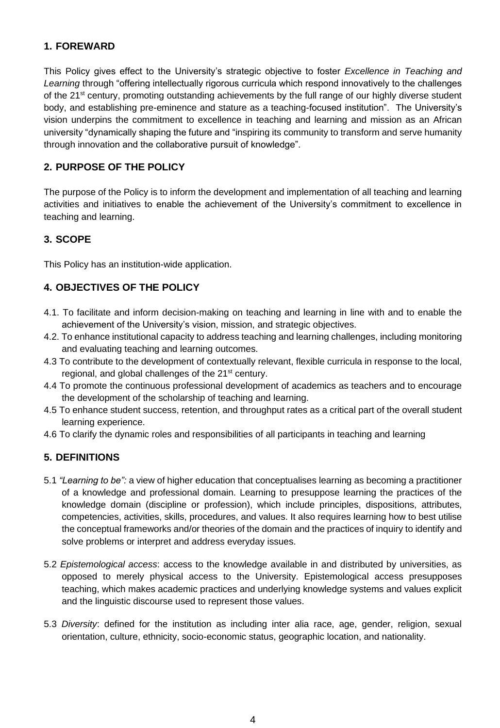## <span id="page-3-0"></span>**1. FOREWARD**

This Policy gives effect to the University's strategic objective to foster *Excellence in Teaching and Learning* through "offering intellectually rigorous curricula which respond innovatively to the challenges of the 21<sup>st</sup> century, promoting outstanding achievements by the full range of our highly diverse student body, and establishing pre-eminence and stature as a teaching-focused institution". The University's vision underpins the commitment to excellence in teaching and learning and mission as an African university "dynamically shaping the future and "inspiring its community to transform and serve humanity through innovation and the collaborative pursuit of knowledge".

## <span id="page-3-1"></span>**2. PURPOSE OF THE POLICY**

The purpose of the Policy is to inform the development and implementation of all teaching and learning activities and initiatives to enable the achievement of the University's commitment to excellence in teaching and learning.

## <span id="page-3-2"></span>**3. SCOPE**

This Policy has an institution-wide application.

## <span id="page-3-3"></span>**4. OBJECTIVES OF THE POLICY**

- 4.1. To facilitate and inform decision-making on teaching and learning in line with and to enable the achievement of the University's vision, mission, and strategic objectives.
- 4.2. To enhance institutional capacity to address teaching and learning challenges, including monitoring and evaluating teaching and learning outcomes.
- 4.3 To contribute to the development of contextually relevant, flexible curricula in response to the local, regional, and global challenges of the 21<sup>st</sup> century.
- 4.4 To promote the continuous professional development of academics as teachers and to encourage the development of the scholarship of teaching and learning.
- 4.5 To enhance student success, retention, and throughput rates as a critical part of the overall student learning experience.
- 4.6 To clarify the dynamic roles and responsibilities of all participants in teaching and learning

## <span id="page-3-4"></span>**5. DEFINITIONS**

- 5.1 *"Learning to be":* a view of higher education that conceptualises learning as becoming a practitioner of a knowledge and professional domain. Learning to presuppose learning the practices of the knowledge domain (discipline or profession), which include principles, dispositions, attributes, competencies, activities, skills, procedures, and values. It also requires learning how to best utilise the conceptual frameworks and/or theories of the domain and the practices of inquiry to identify and solve problems or interpret and address everyday issues.
- 5.2 *Epistemological access*: access to the knowledge available in and distributed by universities, as opposed to merely physical access to the University. Epistemological access presupposes teaching, which makes academic practices and underlying knowledge systems and values explicit and the linguistic discourse used to represent those values.
- 5.3 *Diversity*: defined for the institution as including inter alia race, age, gender, religion, sexual orientation, culture, ethnicity, socio-economic status, geographic location, and nationality.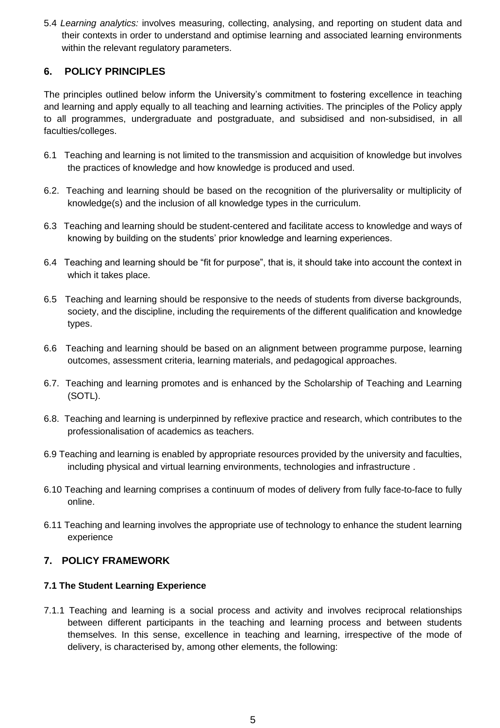5.4 *Learning analytics:* involves measuring, collecting, analysing, and reporting on student data and their contexts in order to understand and optimise learning and associated learning environments within the relevant regulatory parameters.

## <span id="page-4-0"></span>**6. POLICY PRINCIPLES**

The principles outlined below inform the University's commitment to fostering excellence in teaching and learning and apply equally to all teaching and learning activities. The principles of the Policy apply to all programmes, undergraduate and postgraduate, and subsidised and non-subsidised, in all faculties/colleges.

- 6.1 Teaching and learning is not limited to the transmission and acquisition of knowledge but involves the practices of knowledge and how knowledge is produced and used.
- 6.2. Teaching and learning should be based on the recognition of the pluriversality or multiplicity of knowledge(s) and the inclusion of all knowledge types in the curriculum.
- 6.3 Teaching and learning should be student-centered and facilitate access to knowledge and ways of knowing by building on the students' prior knowledge and learning experiences.
- 6.4 Teaching and learning should be "fit for purpose", that is, it should take into account the context in which it takes place.
- 6.5 Teaching and learning should be responsive to the needs of students from diverse backgrounds, society, and the discipline, including the requirements of the different qualification and knowledge types.
- 6.6 Teaching and learning should be based on an alignment between programme purpose, learning outcomes, assessment criteria, learning materials, and pedagogical approaches.
- 6.7. Teaching and learning promotes and is enhanced by the Scholarship of Teaching and Learning (SOTL).
- 6.8. Teaching and learning is underpinned by reflexive practice and research, which contributes to the professionalisation of academics as teachers.
- 6.9 Teaching and learning is enabled by appropriate resources provided by the university and faculties, including physical and virtual learning environments, technologies and infrastructure .
- 6.10 Teaching and learning comprises a continuum of modes of delivery from fully face-to-face to fully online.
- 6.11 Teaching and learning involves the appropriate use of technology to enhance the student learning experience

## <span id="page-4-1"></span>**7. POLICY FRAMEWORK**

### **7.1 The Student Learning Experience**

7.1.1 Teaching and learning is a social process and activity and involves reciprocal relationships between different participants in the teaching and learning process and between students themselves. In this sense, excellence in teaching and learning, irrespective of the mode of delivery, is characterised by, among other elements, the following: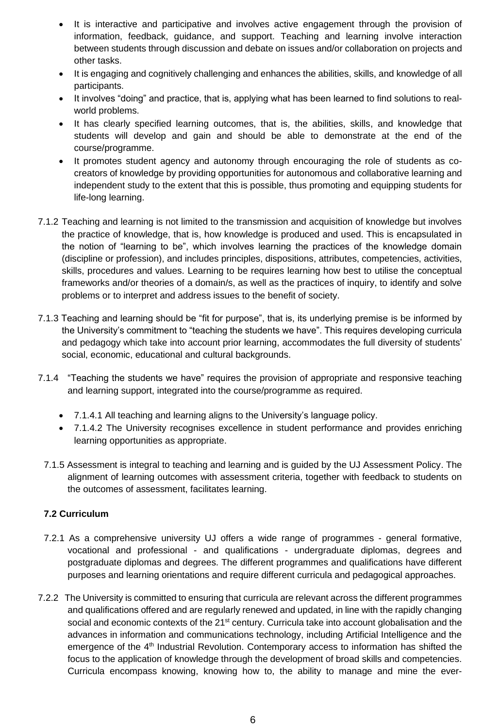- It is interactive and participative and involves active engagement through the provision of information, feedback, guidance, and support. Teaching and learning involve interaction between students through discussion and debate on issues and/or collaboration on projects and other tasks.
- It is engaging and cognitively challenging and enhances the abilities, skills, and knowledge of all participants.
- It involves "doing" and practice, that is, applying what has been learned to find solutions to realworld problems.
- It has clearly specified learning outcomes, that is, the abilities, skills, and knowledge that students will develop and gain and should be able to demonstrate at the end of the course/programme.
- It promotes student agency and autonomy through encouraging the role of students as cocreators of knowledge by providing opportunities for autonomous and collaborative learning and independent study to the extent that this is possible, thus promoting and equipping students for life-long learning.
- 7.1.2 Teaching and learning is not limited to the transmission and acquisition of knowledge but involves the practice of knowledge, that is, how knowledge is produced and used. This is encapsulated in the notion of "learning to be", which involves learning the practices of the knowledge domain (discipline or profession), and includes principles, dispositions, attributes, competencies, activities, skills, procedures and values. Learning to be requires learning how best to utilise the conceptual frameworks and/or theories of a domain/s, as well as the practices of inquiry, to identify and solve problems or to interpret and address issues to the benefit of society.
- 7.1.3 Teaching and learning should be "fit for purpose", that is, its underlying premise is be informed by the University's commitment to "teaching the students we have". This requires developing curricula and pedagogy which take into account prior learning, accommodates the full diversity of students' social, economic, educational and cultural backgrounds.
- 7.1.4 "Teaching the students we have" requires the provision of appropriate and responsive teaching and learning support, integrated into the course/programme as required.
	- 7.1.4.1 All teaching and learning aligns to the University's language policy.
	- 7.1.4.2 The University recognises excellence in student performance and provides enriching learning opportunities as appropriate.
	- 7.1.5 Assessment is integral to teaching and learning and is guided by the UJ Assessment Policy. The alignment of learning outcomes with assessment criteria, together with feedback to students on the outcomes of assessment, facilitates learning.

### **7.2 Curriculum**

- 7.2.1 As a comprehensive university UJ offers a wide range of programmes general formative, vocational and professional - and qualifications - undergraduate diplomas, degrees and postgraduate diplomas and degrees. The different programmes and qualifications have different purposes and learning orientations and require different curricula and pedagogical approaches.
- 7.2.2 The University is committed to ensuring that curricula are relevant across the different programmes and qualifications offered and are regularly renewed and updated, in line with the rapidly changing social and economic contexts of the 21<sup>st</sup> century. Curricula take into account globalisation and the advances in information and communications technology, including Artificial Intelligence and the emergence of the 4<sup>th</sup> Industrial Revolution. Contemporary access to information has shifted the focus to the application of knowledge through the development of broad skills and competencies. Curricula encompass knowing, knowing how to, the ability to manage and mine the ever-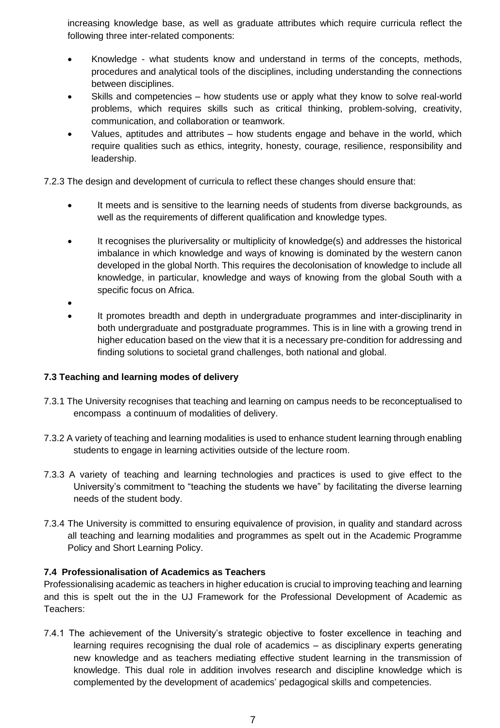increasing knowledge base, as well as graduate attributes which require curricula reflect the following three inter-related components:

- Knowledge what students know and understand in terms of the concepts, methods, procedures and analytical tools of the disciplines, including understanding the connections between disciplines.
- Skills and competencies how students use or apply what they know to solve real-world problems, which requires skills such as critical thinking, problem-solving, creativity, communication, and collaboration or teamwork.
- Values, aptitudes and attributes how students engage and behave in the world, which require qualities such as ethics, integrity, honesty, courage, resilience, responsibility and leadership.

7.2.3 The design and development of curricula to reflect these changes should ensure that:

- It meets and is sensitive to the learning needs of students from diverse backgrounds, as well as the requirements of different qualification and knowledge types.
- It recognises the pluriversality or multiplicity of knowledge(s) and addresses the historical imbalance in which knowledge and ways of knowing is dominated by the western canon developed in the global North. This requires the decolonisation of knowledge to include all knowledge, in particular, knowledge and ways of knowing from the global South with a specific focus on Africa.
- •
- It promotes breadth and depth in undergraduate programmes and inter-disciplinarity in both undergraduate and postgraduate programmes. This is in line with a growing trend in higher education based on the view that it is a necessary pre-condition for addressing and finding solutions to societal grand challenges, both national and global.

### **7.3 Teaching and learning modes of delivery**

- 7.3.1 The University recognises that teaching and learning on campus needs to be reconceptualised to encompass a continuum of modalities of delivery.
- 7.3.2 A variety of teaching and learning modalities is used to enhance student learning through enabling students to engage in learning activities outside of the lecture room.
- 7.3.3 A variety of teaching and learning technologies and practices is used to give effect to the University's commitment to "teaching the students we have" by facilitating the diverse learning needs of the student body.
- 7.3.4 The University is committed to ensuring equivalence of provision, in quality and standard across all teaching and learning modalities and programmes as spelt out in the Academic Programme Policy and Short Learning Policy.

#### **7.4 Professionalisation of Academics as Teachers**

Professionalising academic as teachers in higher education is crucial to improving teaching and learning and this is spelt out the in the UJ Framework for the Professional Development of Academic as Teachers:

7.4.1 The achievement of the University's strategic objective to foster excellence in teaching and learning requires recognising the dual role of academics – as disciplinary experts generating new knowledge and as teachers mediating effective student learning in the transmission of knowledge. This dual role in addition involves research and discipline knowledge which is complemented by the development of academics' pedagogical skills and competencies.